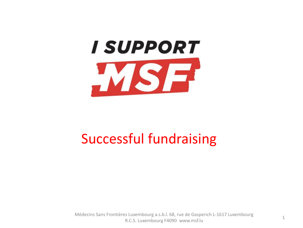

# Successful fundraising

Médecins Sans Frontières Luxembourg a.s.b.l. 68, rue de Gasperich L-1617 Luxembourg R.C.S. Luxembourg F4090 www.msf.lu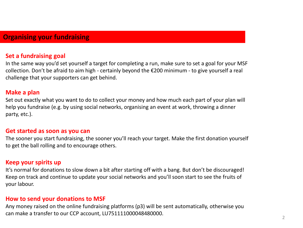# **Organising your fundraising**

#### **Set a fundraising goal**

In the same way you'd set yourself a target for completing a run, make sure to set a goal for your MSF collection. Don't be afraid to aim high - certainly beyond the €200 minimum - to give yourself a real challenge that your supporters can get behind.

#### **Make a plan**

Set out exactly what you want to do to collect your money and how much each part of your plan will help you fundraise (e.g. by using social networks, organising an event at work, throwing a dinner party, etc.).

#### **Get started as soon as you can**

The sooner you start fundraising, the sooner you'll reach your target. Make the first donation yourself to get the ball rolling and to encourage others.

#### **Keep your spirits up**

It's normal for donations to slow down a bit after starting off with a bang. But don't be discouraged! Keep on track and continue to update your social networks and you'll soon start to see the fruits of your labour.

#### **How to send your donations to MSF**

Any money raised on the online fundraising platforms (p3) will be sent automatically, otherwise you can make a transfer to our CCP account, LU751111000048480000.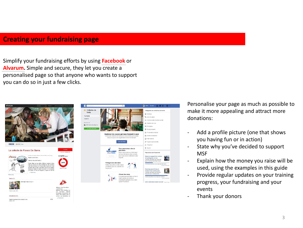# **Creating your fundraising page**

Simplify your fundraising efforts by using **[Facebook](https://www.facebook.com/fund/MSFLux/)** or **[Alvarum.](https://www.alvarum.com/msfluxembourg)** Simple and secure, they let you create a personalised page so that anyone who wants to support you can do so in just a few clicks.





Personalise your page as much as possible to make it more appealing and attract more donations:

- Add a profile picture (one that shows you having fun or in action)
- State why you've decided to support **MSF**
- Explain how the money you raise will be used, using the examples in this guide
- Provide regular updates on your training progress, your fundraising and your events
- Thank your donors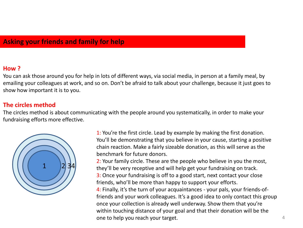# **Asking your friends and family for help**

## **How ?**

You can ask those around you for help in lots of different ways, via social media, in person at a family meal, by emailing your colleagues at work, and so on. Don't be afraid to talk about your challenge, because it just goes to show how important it is to you.

## **The circles method**

The circles method is about communicating with the people around you systematically, in order to make your fundraising efforts more effective.



1: You're the first circle. Lead by example by making the first donation. You'll be demonstrating that you believe in your cause, starting a positive chain reaction. Make a fairly sizeable donation, as this will serve as the benchmark for future donors.

2: Your family circle. These are the people who believe in you the most, they'll be very receptive and will help get your fundraising on track. 3: Once your fundraising is off to a good start, next contact your close friends, who'll be more than happy to support your efforts. 4: Finally, it's the turn of your acquaintances - your pals, your friends-offriends and your work colleagues. It's a good idea to only contact this group once your collection is already well underway. Show them that you're within touching distance of your goal and that their donation will be the one to help you reach your target. And the set of the set of the set of the set of the set of the set of the set of the set of the set of the set of the set of the set of the set of the set of the set of the set of the set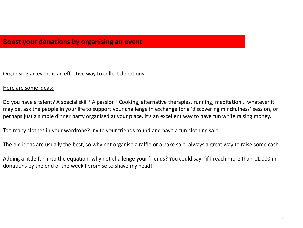Organising an event is an effective way to collect donations.

#### Here are some ideas:

Do you have a talent? A special skill? A passion? Cooking, alternative therapies, running, meditation... whatever it may be, ask the people in your life to support your challenge in exchange for a 'discovering mindfulness' session, or perhaps just a simple dinner party organised at your place. It's an excellent way to have fun while raising money.

Too many clothes in your wardrobe? Invite your friends round and have a fun clothing sale.

The old ideas are usually the best, so why not organise a raffle or a bake sale, always a great way to raise some cash.

Adding a little fun into the equation, why not challenge your friends? You could say: 'if I reach more than €1,000 in donations by the end of the week I promise to shave my head!"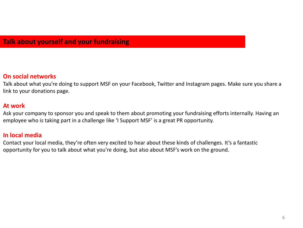# **Talk about yourself and your fundraising**

## **On social networks**

Talk about what you're doing to support MSF on your Facebook, Twitter and Instagram pages. Make sure you share a link to your donations page.

## **At work**

Ask your company to sponsor you and speak to them about promoting your fundraising efforts internally. Having an employee who is taking part in a challenge like 'I Support MSF' is a great PR opportunity.

## **In local media**

Contact your local media, they're often very excited to hear about these kinds of challenges. It's a fantastic opportunity for you to talk about what you're doing, but also about MSF's work on the ground.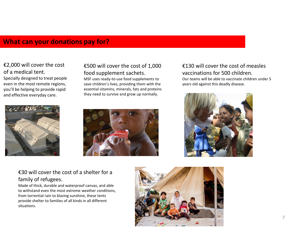# **What can your donations pay for?**

#### €2,000 will cover the cost of a medical tent.

Specially designed to treat people even in the most remote regions, you'll be helping to provide rapid and effective everyday care.



## €500 will cover the cost of 1,000 food supplement sachets.

MSF uses ready-to-use food supplements to save children's lives, providing them with the essential vitamins, minerals, fats and proteins they need to survive and grow up normally.

#### €130 will cover the cost of measles vaccinations for 500 children. Our teams will be able to vaccinate children under 5 years old against this deadly disease.





## €30 will cover the cost of a shelter for a family of refugees.

Made of thick, durable and waterproof canvas, and able to withstand even the most extreme weather conditions, from torrential rain to blazing sunshine, these tents provide shelter to families of all kinds in all different situations.